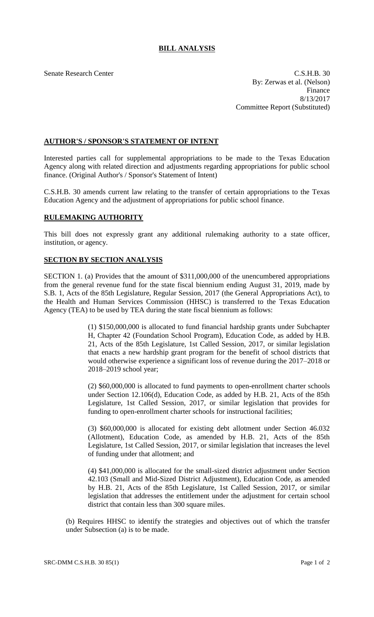## **BILL ANALYSIS**

Senate Research Center C.S.H.B. 30 By: Zerwas et al. (Nelson) Finance 8/13/2017 Committee Report (Substituted)

## **AUTHOR'S / SPONSOR'S STATEMENT OF INTENT**

Interested parties call for supplemental appropriations to be made to the Texas Education Agency along with related direction and adjustments regarding appropriations for public school finance. (Original Author's / Sponsor's Statement of Intent)

C.S.H.B. 30 amends current law relating to the transfer of certain appropriations to the Texas Education Agency and the adjustment of appropriations for public school finance.

## **RULEMAKING AUTHORITY**

This bill does not expressly grant any additional rulemaking authority to a state officer, institution, or agency.

## **SECTION BY SECTION ANALYSIS**

SECTION 1. (a) Provides that the amount of \$311,000,000 of the unencumbered appropriations from the general revenue fund for the state fiscal biennium ending August 31, 2019, made by S.B. 1, Acts of the 85th Legislature, Regular Session, 2017 (the General Appropriations Act), to the Health and Human Services Commission (HHSC) is transferred to the Texas Education Agency (TEA) to be used by TEA during the state fiscal biennium as follows:

> (1) \$150,000,000 is allocated to fund financial hardship grants under Subchapter H, Chapter 42 (Foundation School Program), Education Code, as added by H.B. 21, Acts of the 85th Legislature, 1st Called Session, 2017, or similar legislation that enacts a new hardship grant program for the benefit of school districts that would otherwise experience a significant loss of revenue during the 2017–2018 or 2018–2019 school year;

> (2) \$60,000,000 is allocated to fund payments to open-enrollment charter schools under Section 12.106(d), Education Code, as added by H.B. 21, Acts of the 85th Legislature, 1st Called Session, 2017, or similar legislation that provides for funding to open-enrollment charter schools for instructional facilities;

> (3) \$60,000,000 is allocated for existing debt allotment under Section 46.032 (Allotment), Education Code, as amended by H.B. 21, Acts of the 85th Legislature, 1st Called Session, 2017, or similar legislation that increases the level of funding under that allotment; and

> (4) \$41,000,000 is allocated for the small-sized district adjustment under Section 42.103 (Small and Mid-Sized District Adjustment), Education Code, as amended by H.B. 21, Acts of the 85th Legislature, 1st Called Session, 2017, or similar legislation that addresses the entitlement under the adjustment for certain school district that contain less than 300 square miles.

(b) Requires HHSC to identify the strategies and objectives out of which the transfer under Subsection (a) is to be made.